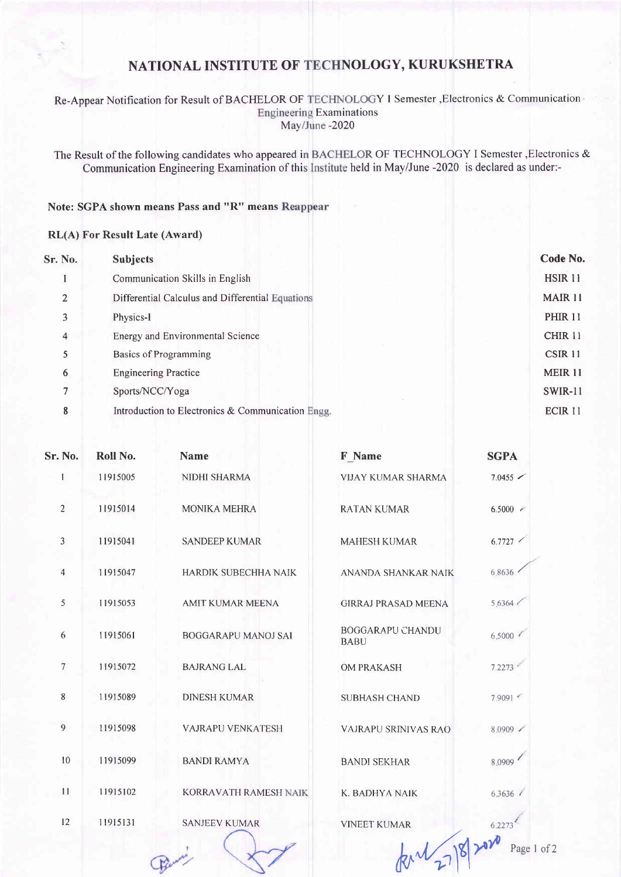# NATIONAL INSTITUTE OF NOLOGY, KURUKSHETRA

#### Re-Appear Notification for Result of BACHELOR OF TECHNOLOGY I Semester , Electronics & Communication **Engineering Examinations** May/June -2020

The Result of the following candidates who appeared in BACHELOR OF TECHNOLOGY I Semester , Electronics & Communication Engineering Examination of this Institute held in May/June -2020 is declared as under:-

### Note: SGPA shown means Pass and "R" means

### RL(A) For Result Late (Award)

| <b>Sr. No.</b> | <b>Subjects</b>                                   | Code No.           |
|----------------|---------------------------------------------------|--------------------|
|                | Communication Skills in English                   | <b>HSIR 11</b>     |
| $\overline{2}$ | Differential Calculus and Differential Equations  | <b>MAIR 11</b>     |
| 3              | Physics-I                                         | <b>PHIR 11</b>     |
| 4              | Energy and Environmental Science                  | <b>CHIR 11</b>     |
| 5              | <b>Basics of Programming</b>                      | <b>CSIR 11</b>     |
| 6              | <b>Engineering Practice</b>                       | <b>MEIR 11</b>     |
| 7              | Sports/NCC/Yoga                                   | <b>SWIR-11</b>     |
| 8              | Introduction to Electronics & Communication Engg. | ECIR <sub>11</sub> |

| Sr. No.        | Roll No. | <b>Name</b>              | F Name                          | <b>SGPA</b>           |
|----------------|----------|--------------------------|---------------------------------|-----------------------|
| $\mathbf{1}$   | 11915005 | <b>NIDHI SHARMA</b>      | <b>VIJAY KUMAR SHARMA</b>       | $7.0455$ $\checkmark$ |
| $\overline{2}$ | 11915014 | <b>MONIKA MEHRA</b>      | <b>RATAN KUMAR</b>              | $6.5000$ $\approx$    |
| $\mathfrak{Z}$ | 11915041 | <b>SANDEEP KUMAR</b>     | <b>MAHESH KUMAR</b>             | 6.7727                |
| $\overline{4}$ | 11915047 | HARDIK SUBECHHA NAIK     | ANANDA SHANKAR NAIK             | 6.8636                |
| 5              | 11915053 | <b>AMIT KUMAR MEENA</b>  | <b>GIRRAJ PRASAD MEENA</b>      | 5.6364 <              |
| 6              | 11915061 | BOGGARAPU MANOJ SAI      | BOGGARAPU CHANDU<br><b>BABU</b> | 6.5000                |
| 7              | 11915072 | <b>BAJRANG LAL</b>       | <b>OM PRAKASH</b>               | 7.2273                |
| 8              | 11915089 | <b>DINESH KUMAR</b>      | <b>SUBHASH CHAND</b>            | 7.9091                |
| 9              | 11915098 | <b>VAJRAPU VENKATESH</b> | VAJRAPU SRINIVAS RAO            | 8.0909 /              |
| 10             | 11915099 | <b>BANDI RAMYA</b>       | <b>BANDI SEKHAR</b>             | 8.0909                |
| 11             | 11915102 | KORRAVATH RAMESH NAIK    | K. BADHYA NAIK                  | 6.3636                |
| 12             | 11915131 | <b>SANJEEV KUMAR</b>     | <b>VINEET KUMAR</b>             | 6.2273                |
|                |          |                          |                                 | Page 1 of 2           |
|                |          |                          |                                 |                       |